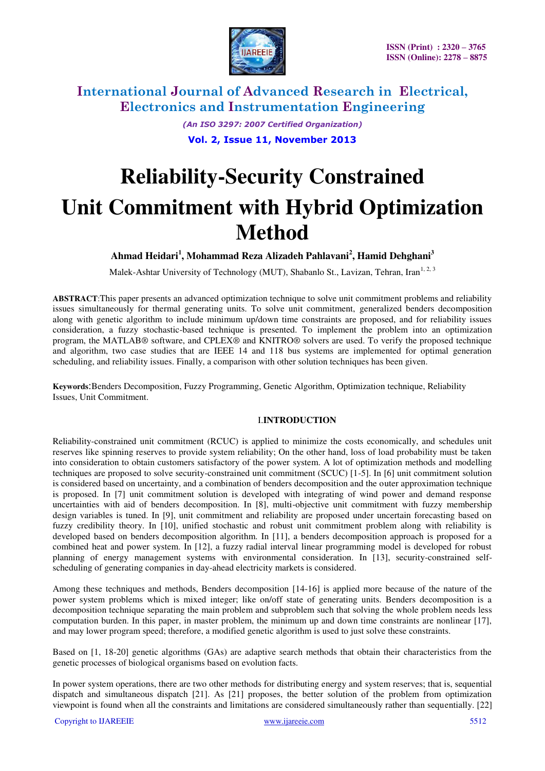

*(An ISO 3297: 2007 Certified Organization)* 

**Vol. 2, Issue 11, November 2013** 

# **Reliability-Security Constrained Unit Commitment with Hybrid Optimization Method**

## **Ahmad Heidari<sup>1</sup> , Mohammad Reza Alizadeh Pahlavani<sup>2</sup> , Hamid Dehghani<sup>3</sup>**

Malek-Ashtar University of Technology (MUT), Shabanlo St., Lavizan, Tehran, Iran<sup>1, 2, 3</sup>

**ABSTRACT**:This paper presents an advanced optimization technique to solve unit commitment problems and reliability issues simultaneously for thermal generating units. To solve unit commitment, generalized benders decomposition along with genetic algorithm to include minimum up/down time constraints are proposed, and for reliability issues consideration, a fuzzy stochastic-based technique is presented. To implement the problem into an optimization program, the MATLAB® software, and CPLEX® and KNITRO® solvers are used. To verify the proposed technique and algorithm, two case studies that are IEEE 14 and 118 bus systems are implemented for optimal generation scheduling, and reliability issues. Finally, a comparison with other solution techniques has been given.

**Keywords**:Benders Decomposition, Fuzzy Programming, Genetic Algorithm, Optimization technique, Reliability Issues, Unit Commitment.

## I.**INTRODUCTION**

Reliability-constrained unit commitment (RCUC) is applied to minimize the costs economically, and schedules unit reserves like spinning reserves to provide system reliability; On the other hand, loss of load probability must be taken into consideration to obtain customers satisfactory of the power system. A lot of optimization methods and modelling techniques are proposed to solve security-constrained unit commitment (SCUC) [1-5]. In [6] unit commitment solution is considered based on uncertainty, and a combination of benders decomposition and the outer approximation technique is proposed. In [7] unit commitment solution is developed with integrating of wind power and demand response uncertainties with aid of benders decomposition. In [8], multi-objective unit commitment with fuzzy membership design variables is tuned. In [9], unit commitment and reliability are proposed under uncertain forecasting based on fuzzy credibility theory. In [10], unified stochastic and robust unit commitment problem along with reliability is developed based on benders decomposition algorithm. In [11], a benders decomposition approach is proposed for a combined heat and power system. In [12], a fuzzy radial interval linear programming model is developed for robust planning of energy management systems with environmental consideration. In [13], security-constrained selfscheduling of generating companies in day-ahead electricity markets is considered.

Among these techniques and methods, Benders decomposition [14-16] is applied more because of the nature of the power system problems which is mixed integer; like on/off state of generating units. Benders decomposition is a decomposition technique separating the main problem and subproblem such that solving the whole problem needs less computation burden. In this paper, in master problem, the minimum up and down time constraints are nonlinear [17], and may lower program speed; therefore, a modified genetic algorithm is used to just solve these constraints.

Based on [1, 18-20] genetic algorithms (GAs) are adaptive search methods that obtain their characteristics from the genetic processes of biological organisms based on evolution facts.

In power system operations, there are two other methods for distributing energy and system reserves; that is, sequential dispatch and simultaneous dispatch [21]. As [21] proposes, the better solution of the problem from optimization viewpoint is found when all the constraints and limitations are considered simultaneously rather than sequentially. [22]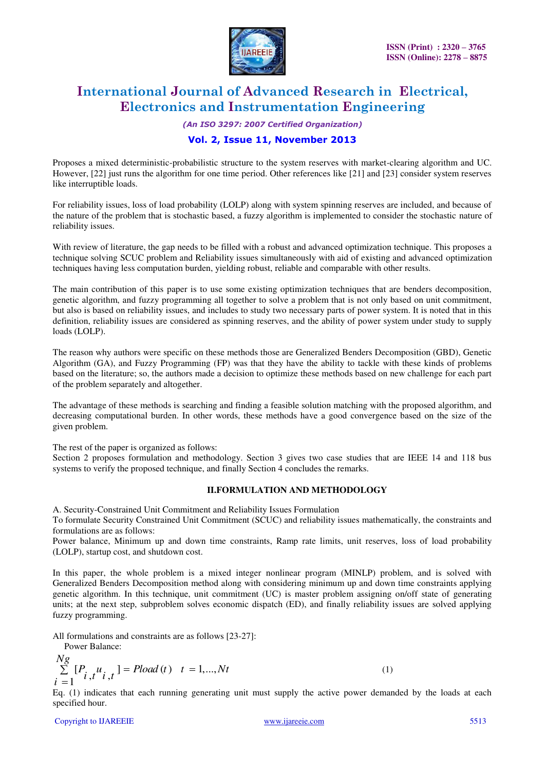

*(An ISO 3297: 2007 Certified Organization)* 

## **Vol. 2, Issue 11, November 2013**

Proposes a mixed deterministic-probabilistic structure to the system reserves with market-clearing algorithm and UC. However, [22] just runs the algorithm for one time period. Other references like [21] and [23] consider system reserves like interruptible loads.

For reliability issues, loss of load probability (LOLP) along with system spinning reserves are included, and because of the nature of the problem that is stochastic based, a fuzzy algorithm is implemented to consider the stochastic nature of reliability issues.

With review of literature, the gap needs to be filled with a robust and advanced optimization technique. This proposes a technique solving SCUC problem and Reliability issues simultaneously with aid of existing and advanced optimization techniques having less computation burden, yielding robust, reliable and comparable with other results.

The main contribution of this paper is to use some existing optimization techniques that are benders decomposition, genetic algorithm, and fuzzy programming all together to solve a problem that is not only based on unit commitment, but also is based on reliability issues, and includes to study two necessary parts of power system. It is noted that in this definition, reliability issues are considered as spinning reserves, and the ability of power system under study to supply loads (LOLP).

The reason why authors were specific on these methods those are Generalized Benders Decomposition (GBD), Genetic Algorithm (GA), and Fuzzy Programming (FP) was that they have the ability to tackle with these kinds of problems based on the literature; so, the authors made a decision to optimize these methods based on new challenge for each part of the problem separately and altogether.

The advantage of these methods is searching and finding a feasible solution matching with the proposed algorithm, and decreasing computational burden. In other words, these methods have a good convergence based on the size of the given problem.

The rest of the paper is organized as follows:

Section 2 proposes formulation and methodology. Section 3 gives two case studies that are IEEE 14 and 118 bus systems to verify the proposed technique, and finally Section 4 concludes the remarks.

## **II.FORMULATION AND METHODOLOGY**

A. Security-Constrained Unit Commitment and Reliability Issues Formulation

To formulate Security Constrained Unit Commitment (SCUC) and reliability issues mathematically, the constraints and formulations are as follows:

Power balance, Minimum up and down time constraints, Ramp rate limits, unit reserves, loss of load probability (LOLP), startup cost, and shutdown cost.

In this paper, the whole problem is a mixed integer nonlinear program (MINLP) problem, and is solved with Generalized Benders Decomposition method along with considering minimum up and down time constraints applying genetic algorithm. In this technique, unit commitment (UC) is master problem assigning on/off state of generating units; at the next step, subproblem solves economic dispatch (ED), and finally reliability issues are solved applying fuzzy programming.

All formulations and constraints are as follows [23-27]:

 Power Balance: *Ng*

$$
\sum_{i=1}^{Ng} [P_{i,t} u_{i,t}] = Pload(t) \quad t = 1,...,Nt
$$
\n(1)

Eq. (1) indicates that each running generating unit must supply the active power demanded by the loads at each specified hour.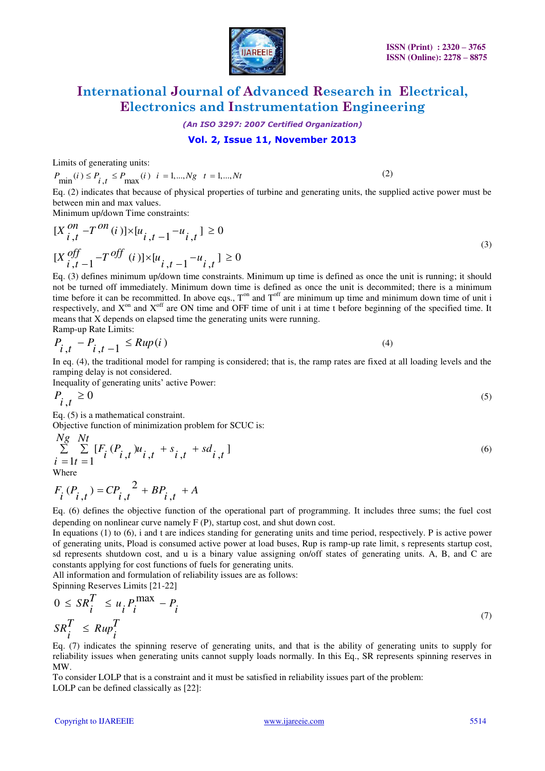

*(An ISO 3297: 2007 Certified Organization)* 

## **Vol. 2, Issue 11, November 2013**

Limits of generating units:

 $P_{\text{min}}(i) \leq P_{i,t} \leq P_{\text{max}}(i)$   $i = 1,..., Ng$   $t = 1,..., Nt$  (2)

Eq. (2) indicates that because of physical properties of turbine and generating units, the supplied active power must be between min and max values.

Minimum up/down Time constraints:

$$
[X_{i,t}^{on} - T^{on}(i)] \times [u_{i,t-1} - u_{i,t}] \ge 0
$$
  

$$
[X_{i,t-1}^{off} - T^{off}(i)] \times [u_{i,t-1} - u_{i,t}] \ge 0
$$
 (3)

Eq. (3) defines minimum up/down time constraints. Minimum up time is defined as once the unit is running; it should not be turned off immediately. Minimum down time is defined as once the unit is decommited; there is a minimum time before it can be recommitted. In above eqs.,  $T^{on}$  and  $T^{off}$  are minimum up time and minimum down time of unit i respectively, and  $X^{on}$  and  $X^{off}$  are ON time and OFF time of unit i at time t before beginning of the specified time. It means that X depends on elapsed time the generating units were running. Ramp-up Rate Limits:

$$
P_{i,t} - P_{i,t-1} \le Rup(i)
$$
\n<sup>(4)</sup>

In eq. (4), the traditional model for ramping is considered; that is, the ramp rates are fixed at all loading levels and the ramping delay is not considered.

Inequality of generating units' active Power:

$$
P_{i,t} \ge 0 \tag{5}
$$

Eq. (5) is a mathematical constraint.

Objective function of minimization problem for SCUC is:

$$
\sum_{i=1}^{Ng} \sum_{t=1}^{Nt} [F_i(P_{i,t})u_{i,t} + s_{i,t} + sd_{i,t}]
$$
\nwhere\n(6)

Where

$$
F_i(P_{i,t}) = CP_{i,t}^2 + BP_{i,t} + A
$$

Eq. (6) defines the objective function of the operational part of programming. It includes three sums; the fuel cost depending on nonlinear curve namely F (P), startup cost, and shut down cost.

In equations (1) to (6), i and t are indices standing for generating units and time period, respectively. P is active power of generating units, Pload is consumed active power at load buses, Rup is ramp-up rate limit, s represents startup cost, sd represents shutdown cost, and u is a binary value assigning on/off states of generating units. A, B, and C are constants applying for cost functions of fuels for generating units.

All information and formulation of reliability issues are as follows:

Spinning Reserves Limits [21-22]

$$
0 \le SR_i^T \le u_i P_i^{\max} - P_i
$$
  

$$
SR_i^T \le Rup_i^T
$$
 (7)

Eq. (7) indicates the spinning reserve of generating units, and that is the ability of generating units to supply for reliability issues when generating units cannot supply loads normally. In this Eq., SR represents spinning reserves in MW.

To consider LOLP that is a constraint and it must be satisfied in reliability issues part of the problem: LOLP can be defined classically as [22]: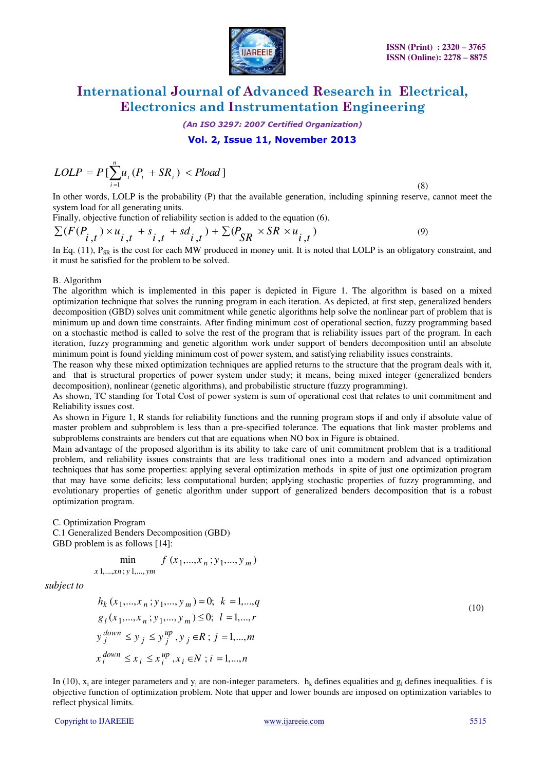

*(An ISO 3297: 2007 Certified Organization)* 

## **Vol. 2, Issue 11, November 2013**

$$
LOLP = P\left[\sum_{i=1}^{n} u_i \left(P_i + SR_i\right) < Pload\right]
$$

 (8) In other words, LOLP is the probability (P) that the available generation, including spinning reserve, cannot meet the system load for all generating units.

Finally, objective function of reliability section is added to the equation (6).

$$
\sum (F(P_{i,t}) \times u_{i,t} + s_{i,t} + sd_{i,t}) + \sum (P_{SR} \times SR \times u_{i,t})
$$
\n<sup>(9)</sup>

In Eq.  $(11)$ ,  $P_{SR}$  is the cost for each MW produced in money unit. It is noted that LOLP is an obligatory constraint, and it must be satisfied for the problem to be solved.

### B. Algorithm

The algorithm which is implemented in this paper is depicted in Figure 1. The algorithm is based on a mixed optimization technique that solves the running program in each iteration. As depicted, at first step, generalized benders decomposition (GBD) solves unit commitment while genetic algorithms help solve the nonlinear part of problem that is minimum up and down time constraints. After finding minimum cost of operational section, fuzzy programming based on a stochastic method is called to solve the rest of the program that is reliability issues part of the program. In each iteration, fuzzy programming and genetic algorithm work under support of benders decomposition until an absolute minimum point is found yielding minimum cost of power system, and satisfying reliability issues constraints.

The reason why these mixed optimization techniques are applied returns to the structure that the program deals with it, and that is structural properties of power system under study; it means, being mixed integer (generalized benders decomposition), nonlinear (genetic algorithms), and probabilistic structure (fuzzy programming).

As shown, TC standing for Total Cost of power system is sum of operational cost that relates to unit commitment and Reliability issues cost.

As shown in Figure 1, R stands for reliability functions and the running program stops if and only if absolute value of master problem and subproblem is less than a pre-specified tolerance. The equations that link master problems and subproblems constraints are benders cut that are equations when NO box in Figure is obtained.

Main advantage of the proposed algorithm is its ability to take care of unit commitment problem that is a traditional problem, and reliability issues constraints that are less traditional ones into a modern and advanced optimization techniques that has some properties: applying several optimization methods in spite of just one optimization program that may have some deficits; less computational burden; applying stochastic properties of fuzzy programming, and evolutionary properties of genetic algorithm under support of generalized benders decomposition that is a robust optimization program.

C. Optimization Program

C.1 Generalized Benders Decomposition (GBD) GBD problem is as follows [14]:

$$
\min_{x_1,\dots,x_n; y_1,\dots,y_m} f(x_1,\dots,x_n; y_1,\dots,y_m)
$$

*subject to*

$$
h_k(x_1,...,x_n; y_1,...,y_m) = 0; \quad k = 1,...,q
$$
  
\n
$$
g_l(x_1,...,x_n; y_1,...,y_m) \le 0; \quad l = 1,...,r
$$
  
\n
$$
y_j^{down} \le y_j \le y_j^{up}, y_j \in R; \quad j = 1,...,m
$$
  
\n
$$
x_i^{down} \le x_i \le x_i^{up}, x_i \in N; \quad i = 1,...,n
$$

(10)

In (10),  $x_i$  are integer parameters and  $y_j$  are non-integer parameters.  $h_k$  defines equalities and  $g_l$  defines inequalities. f is objective function of optimization problem. Note that upper and lower bounds are imposed on optimization variables to reflect physical limits.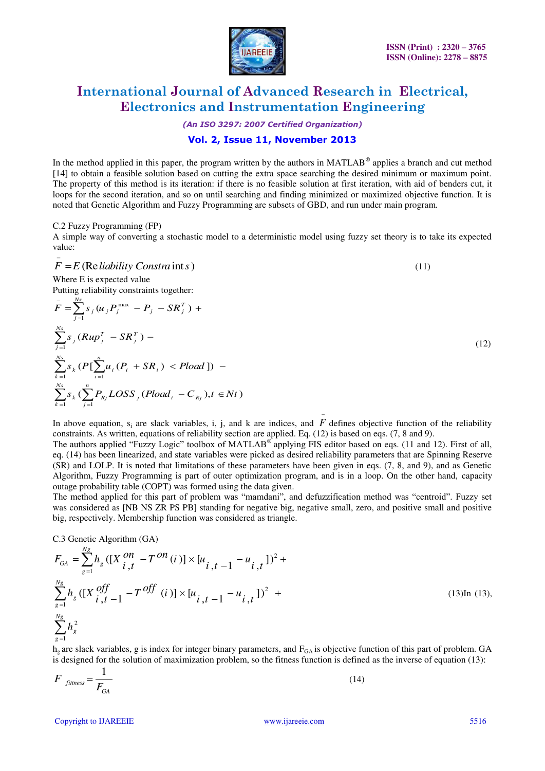

*(An ISO 3297: 2007 Certified Organization)* 

## **Vol. 2, Issue 11, November 2013**

In the method applied in this paper, the program written by the authors in MATLAB<sup>®</sup> applies a branch and cut method [14] to obtain a feasible solution based on cutting the extra space searching the desired minimum or maximum point. The property of this method is its iteration: if there is no feasible solution at first iteration, with aid of benders cut, it loops for the second iteration, and so on until searching and finding minimized or maximized objective function. It is noted that Genetic Algorithm and Fuzzy Programming are subsets of GBD, and run under main program.

### C.2 Fuzzy Programming (FP)

 $\overline{a}$ 

A simple way of converting a stochastic model to a deterministic model using fuzzy set theory is to take its expected value:

$$
F = E \text{ (Re liability Constra int s)
$$
\n
$$
\tag{11}
$$

Where E is expected value Putting reliability constraints together:

$$
\bar{F} = \sum_{j=1}^{Ns} s_j (u_j P_j^{\max} - P_j - SR_j^T) +
$$
\n
$$
\sum_{j=1}^{Ns} s_j (Rup_j^T - SR_j^T) -
$$
\n
$$
\sum_{k=1}^{Ns} s_k (P[\sum_{i=1}^{n} u_i (P_i + SR_i) < Pload]) -
$$
\n
$$
\sum_{k=1}^{Ns} s_k (\sum_{j=1}^{n} P_{Rj} LOSS_j (Pload_i - C_{Rj}), t \in Nt)
$$
\n(12)

In above equation,  $s_i$  are slack variables, i, j, and k are indices, and  $F$  defines objective function of the reliability constraints. As written, equations of reliability section are applied. Eq. (12) is based on eqs. (7, 8 and 9).

The authors applied "Fuzzy Logic" toolbox of MATLAB<sup>®</sup> applying FIS editor based on eqs. (11 and 12). First of all, eq. (14) has been linearized, and state variables were picked as desired reliability parameters that are Spinning Reserve (SR) and LOLP. It is noted that limitations of these parameters have been given in eqs. (7, 8, and 9), and as Genetic Algorithm, Fuzzy Programming is part of outer optimization program, and is in a loop. On the other hand, capacity outage probability table (COPT) was formed using the data given.

The method applied for this part of problem was "mamdani", and defuzzification method was "centroid". Fuzzy set was considered as [NB NS ZR PS PB] standing for negative big, negative small, zero, and positive small and positive big, respectively. Membership function was considered as triangle.

C.3 Genetic Algorithm (GA)

$$
F_{GA} = \sum_{g=1}^{N_g} h_g \left( \left[ X \frac{\partial n}{i, t} - T \frac{\partial n}{i} \right] \right) \times \left[ u_{i, t} - 1 - u_{i, t} \right] \right)^2 +
$$
  

$$
\sum_{g=1}^{N_g} h_g \left( \left[ X \frac{\partial f}{i, t} - 1 - T \frac{\partial f}{i} \right] \right) \times \left[ u_{i, t} - 1 - u_{i, t} \right] \right)^2 +
$$
  

$$
\sum_{g=1}^{N_g} h_g^2
$$
 (13)ln (13),

 $h<sub>e</sub>$  are slack variables, g is index for integer binary parameters, and  $F<sub>GA</sub>$  is objective function of this part of problem. GA is designed for the solution of maximization problem, so the fitness function is defined as the inverse of equation (13):

$$
F_{fitness} = \frac{1}{F_{GA}}
$$
 (14)

Copyright to IJAREEIE [www.ijareeie.com](http://www.ijareeie.com/) 5516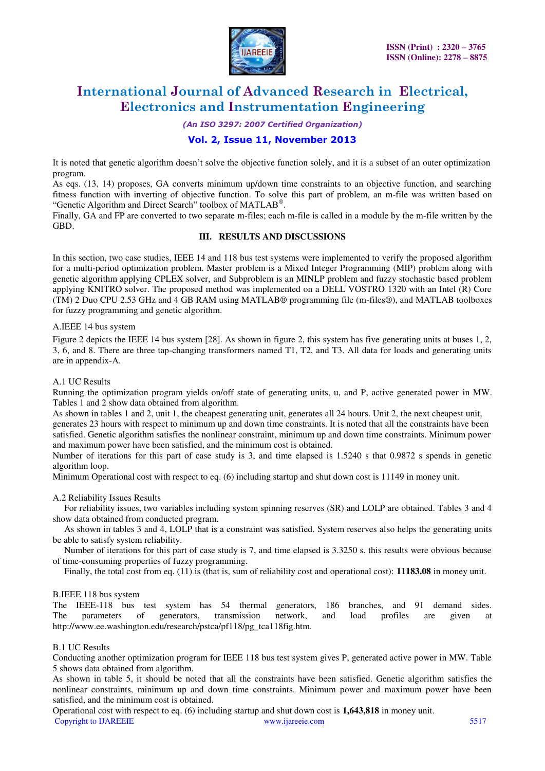

*(An ISO 3297: 2007 Certified Organization)* 

## **Vol. 2, Issue 11, November 2013**

It is noted that genetic algorithm doesn't solve the objective function solely, and it is a subset of an outer optimization program.

As eqs. (13, 14) proposes, GA converts minimum up/down time constraints to an objective function, and searching fitness function with inverting of objective function. To solve this part of problem, an m-file was written based on "Genetic Algorithm and Direct Search" toolbox of MATLAB®.

Finally, GA and FP are converted to two separate m-files; each m-file is called in a module by the m-file written by the GBD.

## **III. RESULTS AND DISCUSSIONS**

In this section, two case studies, IEEE 14 and 118 bus test systems were implemented to verify the proposed algorithm for a multi-period optimization problem. Master problem is a Mixed Integer Programming (MIP) problem along with genetic algorithm applying CPLEX solver, and Subproblem is an MINLP problem and fuzzy stochastic based problem applying KNITRO solver. The proposed method was implemented on a DELL VOSTRO 1320 with an Intel (R) Core (TM) 2 Duo CPU 2.53 GHz and 4 GB RAM using MATLAB® programming file (m-files®), and MATLAB toolboxes for fuzzy programming and genetic algorithm.

## A.IEEE 14 bus system

Figure 2 depicts the IEEE 14 bus system [28]. As shown in figure 2, this system has five generating units at buses 1, 2, 3, 6, and 8. There are three tap-changing transformers named T1, T2, and T3. All data for loads and generating units are in appendix-A.

### A.1 UC Results

Running the optimization program yields on/off state of generating units, u, and P, active generated power in MW. Tables 1 and 2 show data obtained from algorithm.

As shown in tables 1 and 2, unit 1, the cheapest generating unit, generates all 24 hours. Unit 2, the next cheapest unit, generates 23 hours with respect to minimum up and down time constraints. It is noted that all the constraints have been satisfied. Genetic algorithm satisfies the nonlinear constraint, minimum up and down time constraints. Minimum power and maximum power have been satisfied, and the minimum cost is obtained.

Number of iterations for this part of case study is 3, and time elapsed is 1.5240 s that 0.9872 s spends in genetic algorithm loop.

Minimum Operational cost with respect to eq. (6) including startup and shut down cost is 11149 in money unit.

## A.2 Reliability Issues Results

 For reliability issues, two variables including system spinning reserves (SR) and LOLP are obtained. Tables 3 and 4 show data obtained from conducted program.

 As shown in tables 3 and 4, LOLP that is a constraint was satisfied. System reserves also helps the generating units be able to satisfy system reliability.

 Number of iterations for this part of case study is 7, and time elapsed is 3.3250 s. this results were obvious because of time-consuming properties of fuzzy programming.

Finally, the total cost from eq. (11) is (that is, sum of reliability cost and operational cost): **11183.08** in money unit.

### B.IEEE 118 bus system

The IEEE-118 bus test system has 54 thermal generators, 186 branches, and 91 demand sides. The parameters of generators, transmission network, and load profiles are given at http://www.ee.washington.edu/research/pstca/pf118/pg\_tca118fig.htm.

## B.1 UC Results

Conducting another optimization program for IEEE 118 bus test system gives P, generated active power in MW. Table 5 shows data obtained from algorithm.

As shown in table 5, it should be noted that all the constraints have been satisfied. Genetic algorithm satisfies the nonlinear constraints, minimum up and down time constraints. Minimum power and maximum power have been satisfied, and the minimum cost is obtained.

 Copyright to IJAREEIE [www.ijareeie.com](http://www.ijareeie.com/) 5517 Operational cost with respect to eq. (6) including startup and shut down cost is **1,643,818** in money unit.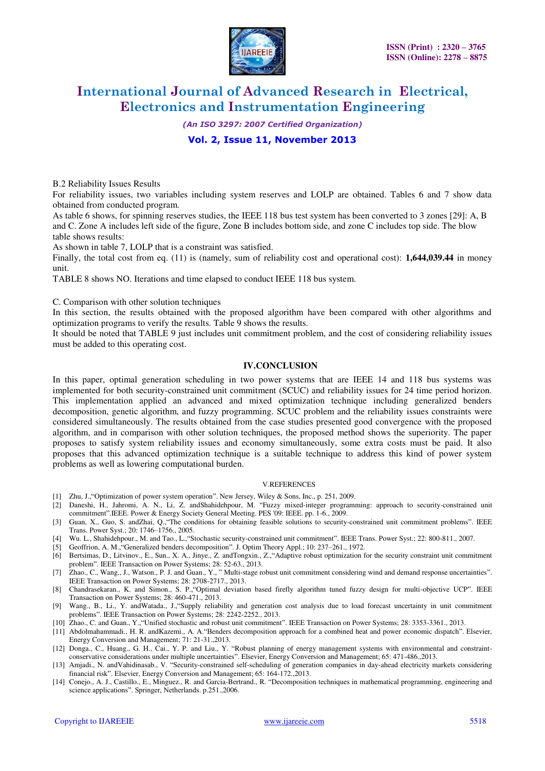

*(An ISO 3297: 2007 Certified Organization)* 

## **Vol. 2, Issue 11, November 2013**

B.2 Reliability Issues Results

For reliability issues, two variables including system reserves and LOLP are obtained. Tables 6 and 7 show data obtained from conducted program.

As table 6 shows, for spinning reserves studies, the IEEE 118 bus test system has been converted to 3 zones [29]: A, B and C. Zone A includes left side of the figure, Zone B includes bottom side, and zone C includes top side. The blow table shows results:

As shown in table 7, LOLP that is a constraint was satisfied.

Finally, the total cost from eq. (11) is (namely, sum of reliability cost and operational cost): **1,644,039.44** in money unit.

TABLE 8 shows NO. Iterations and time elapsed to conduct IEEE 118 bus system.

C. Comparison with other solution techniques

In this section, the results obtained with the proposed algorithm have been compared with other algorithms and optimization programs to verify the results. Table 9 shows the results.

It should be noted that TABLE 9 just includes unit commitment problem, and the cost of considering reliability issues must be added to this operating cost.

### **IV.CONCLUSION**

In this paper, optimal generation scheduling in two power systems that are IEEE 14 and 118 bus systems was implemented for both security-constrained unit commitment (SCUC) and reliability issues for 24 time period horizon. This implementation applied an advanced and mixed optimization technique including generalized benders decomposition, genetic algorithm, and fuzzy programming. SCUC problem and the reliability issues constraints were considered simultaneously. The results obtained from the case studies presented good convergence with the proposed algorithm, and in comparison with other solution techniques, the proposed method shows the superiority. The paper proposes to satisfy system reliability issues and economy simultaneously, some extra costs must be paid. It also proposes that this advanced optimization technique is a suitable technique to address this kind of power system problems as well as lowering computational burden.

### V.REFERENCES

- [1] Zhu, J., "Optimization of power system operation". New Jersey, Wiley & Sons, Inc., p. 251, 2009.
- [2] Daneshi, H., Jahromi, A. N., Li, Z. andShahidehpour, M. "Fuzzy mixed-integer programming: approach to security-constrained unit commitment".IEEE. Power & Energy Society General Meeting. PES '09: IEEE. pp. 1-6., 2009.
- [3] Guan, X., Guo, S. andZhai, Q.,"The conditions for obtaining feasible solutions to security-constrained unit commitment problems". IEEE Trans. Power Syst.; 20: 1746–1756., 2005.
- [4] Wu. L., Shahidehpour., M. and Tao., L.,"Stochastic security-constrained unit commitment". IEEE Trans. Power Syst.; 22: 800-811., 2007.
- [5] Geoffrion, A. M.,"Generalized benders decomposition". J. Optim Theory Appl.; 10: 237–261., 1972.
- [6] Bertsimas, D., Litvinov., E., Sun., X. A., Jinye., Z. andTongxin., Z.,"Adaptive robust optimization for the security constraint unit commitment problem". IEEE Transaction on Power Systems; 28: 52-63., 2013.
- [7] Zhao., C., Wang., J., Watson., P. J. and Guan., Y., " Multi-stage robust unit commitment considering wind and demand response uncertainties". IEEE Transaction on Power Systems; 28: 2708-2717., 2013.
- [8] Chandrasekaran., K. and Simon., S. P.,"Optimal deviation based firefly algorithm tuned fuzzy design for multi-objective UCP". IEEE Transaction on Power Systems; 28: 460-471., 2013.
- [9] Wang., B., Li., Y. andWatada., J.,"Supply reliability and generation cost analysis due to load forecast uncertainty in unit commitment problems". IEEE Transaction on Power Systems; 28: 2242-2252., 2013.

[10] Zhao., C. and Guan., Y.,"Unified stochastic and robust unit commitment". IEEE Transaction on Power Systems; 28: 3353-3361., 2013.

- [11] Abdolmahammadi., H. R. andKazemi., A. A."Benders decomposition approach for a combined heat and power economic dispatch". Elsevier, Energy Conversion and Management; 71: 21-31.,2013.
- [12] Donga., C., Huang., G. H., Cai., Y. P. and Liu., Y. "Robust planning of energy management systems with environmental and constraintconservative considerations under multiple uncertainties". Elsevier, Energy Conversion and Management; 65: 471-486.,2013.
- [13] Amjadi., N. andVahidinasab., V. "Security-constrained self-scheduling of generation companies in day-ahead electricity markets considering financial risk". Elsevier, Energy Conversion and Management; 65: 164-172.,2013.
- [14] Conejo., A. J., Castillo., E., Minguez., R. and Garcia-Bertrand., R. "Decomposition techniques in mathematical programming, engineering and science applications". Springer, Netherlands. p.251.,2006.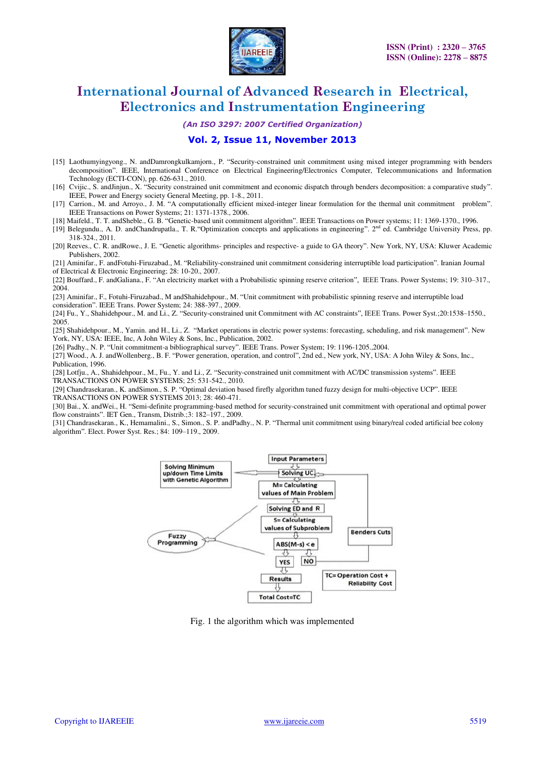

*(An ISO 3297: 2007 Certified Organization)* 

## **Vol. 2, Issue 11, November 2013**

- [15] Laothumyingyong., N. andDamrongkulkamjorn., P. "Security-constrained unit commitment using mixed integer programming with benders decomposition". IEEE, International Conference on Electrical Engineering/Electronics Computer, Telecommunications and Information Technology (ECTI-CON), pp. 626-631., 2010.
- [16] Cvijic., S. andJinjun., X. "Security constrained unit commitment and economic dispatch through benders decomposition: a comparative study". IEEE, Power and Energy society General Meeting, pp. 1-8., 2011.
- [17] Carrion., M. and Arroyo., J. M. "A computationally efficient mixed-integer linear formulation for the thermal unit commitment problem". IEEE Transactions on Power Systems; 21: 1371-1378., 2006.
- [18] Maifeld., T. T. andSheble., G. B. "Genetic-based unit commitment algorithm". IEEE Transactions on Power systems; 11: 1369-1370., 1996.
- [19] Belegundu., A. D. andChandrupatla., T. R. "Optimization concepts and applications in engineering". 2<sup>nd</sup> ed. Cambridge University Press, pp. 318-324., 2011.
- [20] Reeves., C. R. andRowe., J. E. "Genetic algorithms- principles and respective- a guide to GA theory". New York, NY, USA: Kluwer Academic Publishers, 2002.

[21] Aminifar., F. andFotuhi-Firuzabad., M. "Reliability-constrained unit commitment considering interruptible load participation". Iranian Journal of Electrical & Electronic Engineering; 28: 10-20., 2007.

[22] Bouffard., F. andGaliana., F. "An electricity market with a Probabilistic spinning reserve criterion", IEEE Trans. Power Systems; 19: 310–317., 2004

[23] Aminifar., F., Fotuhi-Firuzabad., M andShahidehpour., M. "Unit commitment with probabilistic spinning reserve and interruptible load consideration". IEEE Trans. Power System; 24: 388-397., 2009.

[24] Fu., Y., Shahidehpour., M. and Li., Z. "Security-constrained unit Commitment with AC constraints", IEEE Trans. Power Syst.;20:1538–1550., 2005.

[25] Shahidehpour., M., Yamin. and H., Li., Z. "Market operations in electric power systems: forecasting, scheduling, and risk management". New York, NY, USA: IEEE, Inc, A John Wiley & Sons, Inc., Publication, 2002.

[26] Padhy., N. P. "Unit commitment-a bibliographical survey". IEEE Trans. Power System; 19: 1196-1205.,2004.

[27] Wood., A. J. andWollenberg., B. F. "Power generation, operation, and control", 2nd ed., New york, NY, USA: A John Wiley & Sons, Inc., Publication, 1996.

[28] Lotfju., A., Shahidehpour., M., Fu., Y. and Li., Z. "Security-constrained unit commitment with AC/DC transmission systems". IEEE TRANSACTIONS ON POWER SYSTEMS; 25: 531-542., 2010.

[29] Chandrasekaran., K. andSimon., S. P. "Optimal deviation based firefly algorithm tuned fuzzy design for multi-objective UCP". IEEE TRANSACTIONS ON POWER SYSTEMS 2013; 28: 460-471.

[30] Bai., X. andWei., H. "Semi-definite programming-based method for security-constrained unit commitment with operational and optimal power flow constraints". IET Gen., Transm, Distrib.;3: 182–197., 2009.

[31] Chandrasekaran., K., Hemamalini., S., Simon., S. P. andPadhy., N. P. "Thermal unit commitment using binary/real coded artificial bee colony algorithm". Elect. Power Syst. Res.; 84: 109–119., 2009.



Fig. 1 the algorithm which was implemented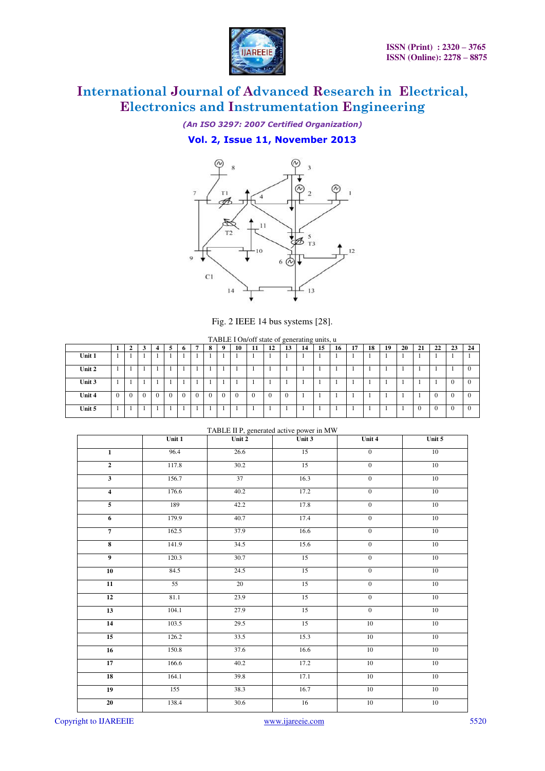

*(An ISO 3297: 2007 Certified Organization)* 

## **Vol. 2, Issue 11, November 2013**



Fig. 2 IEEE 14 bus systems [28].

|        |          |   |          |          |          |          |             |          |    |    |    |    |    | TABLE I On/off state of generating units, u |    |    |    |    |    |          |          |          |          |
|--------|----------|---|----------|----------|----------|----------|-------------|----------|----|----|----|----|----|---------------------------------------------|----|----|----|----|----|----------|----------|----------|----------|
|        |          | ◢ | 3        |          | Ð        |          | $\mathbf o$ | 9        | 10 | 11 | 12 | 13 | 14 | 15                                          | 16 | 17 | 18 | 19 | 20 | 21       | 22       | 23       | 24       |
| Unit 1 |          |   |          |          |          |          |             |          |    |    |    |    |    |                                             |    |    |    |    |    |          |          |          |          |
| Unit 2 |          |   |          |          |          |          |             |          |    |    |    |    |    |                                             |    |    |    |    |    |          |          |          | $\theta$ |
| Unit 3 |          |   |          |          |          |          |             |          |    |    |    |    |    |                                             |    |    |    |    |    |          |          | $\theta$ | $\Omega$ |
| Unit 4 | $\Omega$ |   | $\Omega$ | $\Omega$ | $\Omega$ | $\Omega$ |             | $\Omega$ |    |    |    |    |    |                                             |    |    |    |    |    |          | $\Omega$ | $\Omega$ | $\Omega$ |
| Unit 5 |          |   |          |          |          |          |             |          |    |    |    |    |    |                                             |    |    |    |    |    | $\Omega$ | $\Omega$ | $\Omega$ | $\Omega$ |

|                         | Unit 1        | Unit 2 | TABLE II P, generated active power in MW<br>Unit 3 | Unit 4           | Unit 5 |
|-------------------------|---------------|--------|----------------------------------------------------|------------------|--------|
| $\overline{1}$          | 96.4          | 26.6   | 15                                                 | $\overline{0}$   | 10     |
|                         |               |        |                                                    |                  |        |
| $\overline{2}$          | 117.8         | 30.2   | 15                                                 | $\overline{0}$   | 10     |
| $\overline{\mathbf{3}}$ | 156.7         | 37     | 16.3                                               | $\overline{0}$   | 10     |
| $\overline{4}$          | 176.6         | 40.2   | 17.2                                               | $\overline{0}$   | 10     |
| $\overline{\mathbf{5}}$ | 189           | 42.2   | 17.8                                               | $\overline{0}$   | 10     |
| $\overline{6}$          | 179.9         | 40.7   | 17.4                                               | $\overline{0}$   | $10\,$ |
| $\overline{7}$          | 162.5         | 37.9   | 16.6                                               | $\overline{0}$   | $10$   |
| $\overline{\mathbf{8}}$ | 141.9         | 34.5   | 15.6                                               | $\overline{0}$   | 10     |
| $\overline{9}$          | 120.3         | 30.7   | 15                                                 | $\overline{0}$   | $10\,$ |
| 10                      | 84.5          | 24.5   | 15                                                 | $\overline{0}$   | 10     |
| $\overline{11}$         | 55            | 20     | 15                                                 | $\overline{0}$   | $10$   |
| 12                      | 81.1          | 23.9   | 15                                                 | $\boldsymbol{0}$ | $10\,$ |
| 13                      | 104.1         | 27.9   | 15                                                 | $\overline{0}$   | $10\,$ |
| 14                      | 103.5         | 29.5   | 15                                                 | $10\,$           | 10     |
| 15                      | 126.2         | 33.5   | 15.3                                               | 10               | 10     |
| 16                      | 150.8         | 37.6   | 16.6                                               | 10               | 10     |
| 17                      | 166.6         | 40.2   | 17.2                                               | 10               | 10     |
| 18                      | 164.1         | 39.8   | 17.1                                               | $10\,$           | $10\,$ |
| 19                      | 155           | 38.3   | 16.7                                               | $10\,$           | 10     |
| 20                      | 138.4<br>30.6 |        |                                                    | $10\,$           | $10\,$ |

TABLE II P, generated active power in MW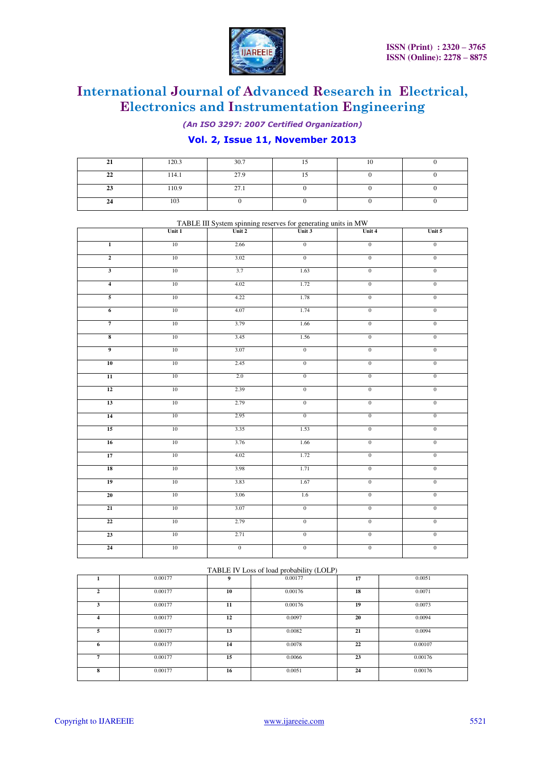

*(An ISO 3297: 2007 Certified Organization)* 

## **Vol. 2, Issue 11, November 2013**

| 41 | 120.3 | 30.7 |  |  |
|----|-------|------|--|--|
| 22 | 114.1 | 27.9 |  |  |
| 23 | 110.9 | 27.1 |  |  |
| "  | 103   |      |  |  |

|                         |        |                | TABLE III System spinning reserves for generating units in MW<br>it 1 Unit 2 Unit 3 Unit 3 |                  |                  |  |  |
|-------------------------|--------|----------------|--------------------------------------------------------------------------------------------|------------------|------------------|--|--|
|                         | Unit 1 |                |                                                                                            | Unit 4           | Unit 5           |  |  |
| $\overline{1}$          | 10     | 2.66           | $\overline{0}$                                                                             | $\overline{0}$   | $\overline{0}$   |  |  |
| $\overline{2}$          | 10     | 3.02           | $\overline{0}$                                                                             | $\overline{0}$   | $\overline{0}$   |  |  |
| $\overline{\mathbf{3}}$ | 10     | 3.7            | 1.63                                                                                       | $\overline{0}$   | $\overline{0}$   |  |  |
| $\overline{\mathbf{4}}$ | 10     | 4.02           | 1.72                                                                                       | $\overline{0}$   | $\overline{0}$   |  |  |
| 5                       | 10     | 4.22           | 1.78                                                                                       | $\overline{0}$   | $\boldsymbol{0}$ |  |  |
| $\overline{6}$          | 10     | 4.07           | 1.74                                                                                       | $\overline{0}$   | $\overline{0}$   |  |  |
| $\overline{7}$          | 10     | 3.79           | 1.66                                                                                       | $\overline{0}$   | $\overline{0}$   |  |  |
| $\overline{\mathbf{8}}$ | 10     | 3.45           | 1.56                                                                                       | $\boldsymbol{0}$ | $\overline{0}$   |  |  |
| 9                       | 10     | 3.07           | $\overline{0}$                                                                             | $\overline{0}$   | $\overline{0}$   |  |  |
| 10                      | 10     | 2.45           | $\overline{0}$                                                                             | $\overline{0}$   | $\overline{0}$   |  |  |
| $\overline{11}$         | 10     | 2.0            | $\overline{0}$                                                                             | $\overline{0}$   | $\overline{0}$   |  |  |
| 12                      | 10     | 2.39           | $\overline{0}$                                                                             | $\overline{0}$   | $\overline{0}$   |  |  |
| 13                      | 10     | 2.79           | $\overline{0}$                                                                             | $\overline{0}$   | $\overline{0}$   |  |  |
| 14                      | 10     | 2.95           | $\overline{0}$                                                                             | $\overline{0}$   | $\overline{0}$   |  |  |
| 15                      | $10\,$ | 3.35           | 1.53                                                                                       | $\overline{0}$   | $\overline{0}$   |  |  |
| 16                      | 10     | 3.76           | 1.66                                                                                       | $\overline{0}$   | $\overline{0}$   |  |  |
| 17                      | 10     | 4.02           | 1.72                                                                                       | $\overline{0}$   | $\overline{0}$   |  |  |
| 18                      | 10     | 3.98           | 1.71                                                                                       | $\overline{0}$   | $\overline{0}$   |  |  |
| 19                      | 10     | 3.83           | 1.67                                                                                       | $\overline{0}$   | $\overline{0}$   |  |  |
| 20                      | 10     | 3.06           | 1.6                                                                                        | $\overline{0}$   | $\overline{0}$   |  |  |
| $\overline{21}$         | 10     | 3.07           | $\overline{0}$                                                                             | $\boldsymbol{0}$ | $\overline{0}$   |  |  |
| 22                      | 10     | 2.79           | $\overline{0}$                                                                             | $\overline{0}$   | $\overline{0}$   |  |  |
| 23                      | 10     | 2.71           | $\overline{0}$                                                                             | $\overline{0}$   | $\overline{0}$   |  |  |
| 24                      | $10\,$ | $\overline{0}$ | $\overline{0}$                                                                             | $\overline{0}$   | $\overline{0}$   |  |  |

|  | TABLE III System spinning reserves for generating units in MW |  |
|--|---------------------------------------------------------------|--|
|  |                                                               |  |

|    |         |    | TABLE IV Loss of load probability (LOLP) |    |         |
|----|---------|----|------------------------------------------|----|---------|
|    | 0.00177 | 9  | 0.00177                                  | 17 | 0.0051  |
| 2  | 0.00177 | 10 | 0.00176                                  | 18 | 0.0071  |
| 3  | 0.00177 | 11 | 0.00176                                  | 19 | 0.0073  |
| 4  | 0.00177 | 12 | 0.0097                                   | 20 | 0.0094  |
| 5. | 0.00177 | 13 | 0.0082                                   | 21 | 0.0094  |
| 6  | 0.00177 | 14 | 0.0078                                   | 22 | 0.00107 |
| 7  | 0.00177 | 15 | 0.0066                                   | 23 | 0.00176 |
| 8  | 0.00177 | 16 | 0.0051                                   | 24 | 0.00176 |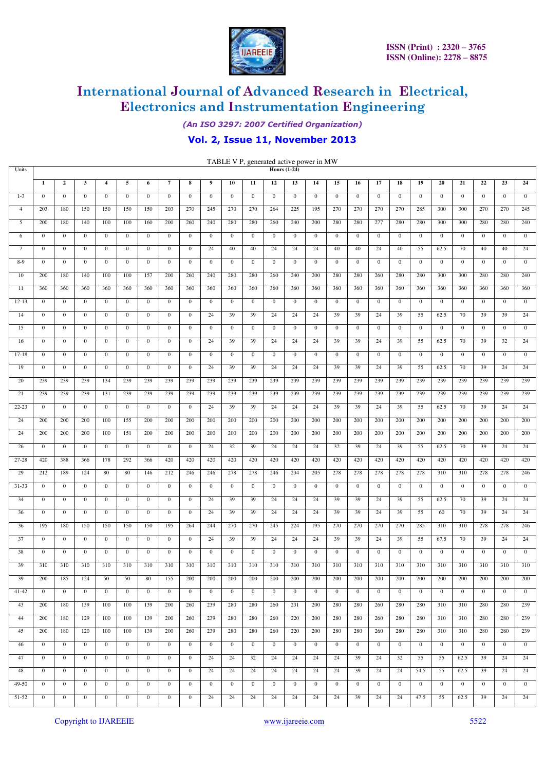

*(An ISO 3297: 2007 Certified Organization)* 

## **Vol. 2, Issue 11, November 2013**

TABLE V P, generated active power in MW

| Units          |                              |                                      |                              |                                  |                                  |                              |                              |                                  |                  |                  |                  | <b>Hours (1-24)</b> |                  |              |                  |                  |                  |                  |                  |                  |                  |                |                  |                        |
|----------------|------------------------------|--------------------------------------|------------------------------|----------------------------------|----------------------------------|------------------------------|------------------------------|----------------------------------|------------------|------------------|------------------|---------------------|------------------|--------------|------------------|------------------|------------------|------------------|------------------|------------------|------------------|----------------|------------------|------------------------|
|                | $\mathbf{1}$                 | $\overline{2}$                       | $\mathbf{3}$                 | $\overline{4}$                   | 5                                | 6                            | $\overline{7}$               | 8                                | 9                | 10               | 11               | 12                  | 13               | 14           | 15               | 16               | 17               | 18               | 19               | 20               | 21               | 22             | 23               | 24                     |
| $1 - 3$        | $\mathbf{0}$                 | $\boldsymbol{0}$                     | $\mathbf{0}$                 | $\overline{0}$                   | $\overline{0}$                   | $\mathbf{0}$                 | $\mathbf{0}$                 | $\overline{0}$                   | $\overline{0}$   | $\overline{0}$   | $\mathbf{0}$     | $\bf{0}$            | $\mathbf{0}$     | $\mathbf{0}$ | $\mathbf{0}$     | $\mathbf{0}$     | $\overline{0}$   | $\mathbf{0}$     | $\mathbf{0}$     | $\overline{0}$   | $\bf{0}$         | $\overline{0}$ | $\overline{0}$   | $\boldsymbol{0}$       |
| $\overline{4}$ | 203                          | 180                                  | 150                          | 150                              | 150                              | 150                          | 203                          | 270                              | 245              | 270              | 270              | 264                 | 225              | 195          | 270              | 270              | 270              | 270              | 285              | 300              | 300              | 270            | 270              | 245                    |
| 5              | 200                          | 180                                  | 140                          | 100                              | 100                              | 160                          | 200                          | 260                              | 240              | 280              | 280              | 260                 | 240              | 200          | 280              | 280              | 277              | 280              | 280              | 300              | 300              | 280            | 280              | 240                    |
| 6              | $\mathbf{0}$                 | $\mathbf{0}$                         | $\mathbf{0}$                 | $\overline{0}$                   | $\overline{0}$                   | $\mathbf{0}$                 | $\mathbf{0}$                 | $\overline{0}$                   | $\overline{0}$   | $\mathbf{0}$     | $\mathbf{0}$     | $\mathbf{0}$        | $\mathbf{0}$     | $\mathbf{0}$ | $\mathbf{0}$     | $\mathbf{0}$     | $\mathbf{0}$     | $\mathbf{0}$     | $\overline{0}$   | $\mathbf{0}$     | $\boldsymbol{0}$ | $\mathbf{0}$   | $\boldsymbol{0}$ | $\mathbf{0}$           |
| $\tau$         | $\mathbf{0}$                 | $\bf{0}$                             | $\bf{0}$                     | $\mathbf{0}$                     | $\mathbf{0}$                     | $\mathbf{0}$                 | $\mathbf{0}$                 | $\bf{0}$                         | 24               | 40               | 40               | 24                  | 24               | 24           | 40               | 40               | 24               | 40               | 55               | 62.5             | 70               | 40             | 40               | 24                     |
| $8-9$          | $\mathbf{0}$                 | $\mathbf{0}$                         | $\overline{0}$               | $\overline{0}$                   | $\mathbf{0}$                     | $\mathbf{0}$                 | $\mathbf{0}$                 | $\overline{0}$                   | $\overline{0}$   | $\overline{0}$   | $\mathbf{0}$     | $\overline{0}$      | $\mathbf{0}$     | $\mathbf{0}$ | $\boldsymbol{0}$ | $\mathbf{0}$     | $\bf{0}$         | $\bf{0}$         | $\bf{0}$         | $\bf{0}$         | $\bf{0}$         | $\bf{0}$       | $\overline{0}$   | $\boldsymbol{0}$       |
| 10             | 200                          | 180                                  | 140                          | 100                              | 100                              | 157                          | 200                          | 260                              | 240              | 280              | 280              | 260                 | 240              | 200          | 280              | 280              | 260              | 280              | 280              | 300              | 300              | 280            | 280              | 240                    |
| 11             | 360                          | 360                                  | 360                          | 360                              | 360                              | 360                          | 360                          | 360                              | 360              | 360              | 360              | 360                 | 360              | 360          | 360              | 360              | 360              | 360              | 360              | 360              | 360              | 360            | 360              | 360                    |
| $12 - 13$      | $\mathbf{0}$                 | $\mathbf{0}$                         | $\mathbf{0}$                 | $\overline{0}$                   | $\overline{0}$                   | $\mathbf{0}$                 | $\mathbf{0}$                 | $\bf{0}$                         | $\mathbf{0}$     | $\mathbf{0}$     | $\mathbf{0}$     | $\bf{0}$            | $\mathbf{0}$     | $\mathbf{0}$ | $\mathbf{0}$     | $\mathbf{0}$     | $\mathbf{0}$     | $\mathbf{0}$     | $\overline{0}$   | $\mathbf{0}$     | $\bf{0}$         | $\bf{0}$       | $\boldsymbol{0}$ | $\mathbf{0}$           |
| 14             | $\mathbf{0}$                 | $\bf{0}$                             | $\bf{0}$                     | $\overline{0}$                   | $\mathbf{0}$                     | $\mathbf{0}$                 | $\mathbf{0}$                 | $\bf{0}$                         | 24               | 39               | 39               | 24                  | 24               | 24           | 39               | 39               | 24               | 39               | 55               | 62.5             | 70               | 39             | 39               | 24                     |
| 15             | $\overline{0}$               | $\boldsymbol{0}$                     | $\overline{0}$               | $\overline{0}$                   | $\boldsymbol{0}$                 | $\mathbf{0}$                 | $\boldsymbol{0}$             | $\overline{0}$                   | $\overline{0}$   | $\bf{0}$         | $\bf{0}$         | $\bf{0}$            | $\mathbf{0}$     | $\mathbf{0}$ | $\boldsymbol{0}$ | $\bf{0}$         | $\boldsymbol{0}$ | $\bf{0}$         | $\boldsymbol{0}$ | $\bf{0}$         | $\bf{0}$         | $\overline{0}$ | $\bf{0}$         | $\boldsymbol{0}$       |
| 16             | $\mathbf{0}$                 | $\mathbf{0}$                         | $\mathbf{0}$                 | $\mathbf{0}$                     | $\mathbf{0}$                     | $\mathbf{0}$                 | $\boldsymbol{0}$             | $\bf{0}$                         | 24               | 39               | 39               | 24                  | 24               | 24           | 39               | 39               | 24               | 39               | 55               | 62.5             | 70               | 39             | 32               | 24                     |
| $17 - 18$      | $\mathbf{0}$                 | $\boldsymbol{0}$                     | $\mathbf{0}$                 | $\bf{0}$                         | $\boldsymbol{0}$                 | $\boldsymbol{0}$             | $\boldsymbol{0}$             | $\mathbf{0}$                     | $\bf{0}$         | $\mathbf{0}$     | $\boldsymbol{0}$ | $\bf{0}$            | $\boldsymbol{0}$ | $\bf{0}$     | $\bf{0}$         | $\boldsymbol{0}$ | $\bf{0}$         | $\mathbf{0}$     | $\bf{0}$         | $\bf{0}$         | $\bf{0}$         | $\mathbf{0}$   | $\bf{0}$         | $\boldsymbol{0}$       |
| 19             | $\mathbf{0}$                 | $\boldsymbol{0}$                     | $\mathbf{0}$                 | $\overline{0}$                   | $\mathbf{0}$                     | $\mathbf{0}$                 | $\mathbf{0}$                 | $\mathbf{0}$                     | 24               | 39               | 39               | 24                  | 24               | 24           | 39               | 39               | 24               | 39               | 55               | 62.5             | 70               | 39             | 24               | 24                     |
| 20             | 239                          | 239                                  | 239                          | 134                              | 239                              | 239                          | 239                          | 239                              | 239              | 239              | 239              | 239                 | 239              | 239          | 239              | 239              | 239              | 239              | 239              | 239              | 239              | 239            | 239              | 239                    |
| 21             | 239                          | 239                                  | 239                          | 131                              | 239                              | 239                          | 239                          | 239                              | 239              | 239              | 239              | 239                 | 239              | 239          | 239              | 239              | 239              | 239              | 239              | 239              | 239              | 239            | 239              | 239                    |
| $22 - 23$      | $\mathbf{0}$                 | $\bf{0}$                             | $\mathbf{0}$                 | $\bf{0}$                         | $\mathbf{0}$                     | $\mathbf{0}$                 | $\boldsymbol{0}$             | $\boldsymbol{0}$                 | 24               | 39               | 39               | 24                  | 24               | 24           | 39               | 39               | 24               | 39               | 55               | 62.5             | 70               | 39             | 24               | 24                     |
| 24             | 200                          | 200                                  | 200                          | 100                              | 155                              | 200                          | 200                          | 200                              | 200              | 200              | 200              | 200                 | 200              | 200          | 200              | 200              | 200              | 200              | 200              | 200              | 200              | 200            | 200              | 200                    |
| 24             | 200                          | 200                                  | 200                          | 100                              | 151                              | 200                          | 200                          | 200                              | 200              | 200              | 200              | 200                 | 200              | 200          | 200              | 200              | 200              | 200              | 200              | 200              | 200              | 200            | 200              | 200                    |
| 26             | $\mathbf{0}$                 | $\mathbf{0}$                         | $\mathbf{0}$                 | $\overline{0}$                   | $\overline{0}$                   | $\overline{0}$               | $\mathbf{0}$                 | $\overline{0}$                   | 24               | 32               | 39               | 24                  | 24               | 24           | 32               | 39               | 24               | 39               | 55               | 62.5             | 70               | 39             | 24               | 24                     |
| $27 - 28$      | 420                          | 388                                  | 366                          | 178                              | 292                              | 366                          | 420                          | 420                              | 420              | 420              | 420              | 420                 | 420              | 420          | 420              | 420              | 420              | 420              | 420              | 420              | 420              | 420            | 420              | 420                    |
| 29             | 212                          | 189                                  | 124                          | 80                               | 80                               | 146                          | 212                          | 246                              | 246              | 278              | 278              | 246                 | 234              | 205          | 278              | 278              | 278              | 278              | 278              | 310              | 310              | 278            | 278              | 246                    |
| 31-33<br>34    | $\boldsymbol{0}$             | $\bf{0}$                             | $\boldsymbol{0}$             | $\bf{0}$                         | $\boldsymbol{0}$                 | $\mathbf{0}$                 | $\boldsymbol{0}$             | $\bf{0}$                         | $\bf{0}$         | $\mathbf{0}$     | $\boldsymbol{0}$ | $\bf{0}$            | $\bf{0}$         | $\bf{0}$     | $\bf{0}$         | $\boldsymbol{0}$ | $\bf{0}$         | $\bf{0}$         | $\bf{0}$         | $\bf{0}$         | $\bf{0}$         | $\bf{0}$       | $\bf{0}$         | $\boldsymbol{0}$<br>24 |
|                | $\mathbf{0}$<br>$\mathbf{0}$ | $\boldsymbol{0}$<br>$\boldsymbol{0}$ | $\mathbf{0}$<br>$\mathbf{0}$ | $\overline{0}$<br>$\overline{0}$ | $\overline{0}$<br>$\overline{0}$ | $\mathbf{0}$<br>$\mathbf{0}$ | $\mathbf{0}$<br>$\mathbf{0}$ | $\overline{0}$<br>$\overline{0}$ | 24<br>24         | 39<br>39         | 39<br>39         | 24<br>24            | 24<br>24         | 24<br>24     | 39               | 39<br>39         | 24<br>24         | 39<br>39         | 55               | 62.5<br>60       | 70               | 39<br>39       | 24               |                        |
| 36<br>36       | 195                          | 180                                  | 150                          | 150                              | 150                              | 150                          | 195                          | 264                              | 244              | 270              | 270              | 245                 | 224              | 195          | 39<br>270        | 270              | 270              | 270              | 55<br>285        | 310              | 70<br>310        | 278            | 24<br>278        | 24<br>246              |
| 37             | $\mathbf{0}$                 | $\mathbf{0}$                         | $\mathbf{0}$                 | $\mathbf{0}$                     | $\mathbf{0}$                     | $\mathbf{0}$                 | $\mathbf{0}$                 | $\mathbf{0}$                     | 24               | 39               | 39               | 24                  | 24               | 24           | 39               | 39               | 24               | 39               | 55               | 67.5             | 70               | 39             | 24               | 24                     |
| 38             | $\mathbf{0}$                 | $\bf{0}$                             | $\boldsymbol{0}$             | $\boldsymbol{0}$                 | $\boldsymbol{0}$                 | $\bf{0}$                     | $\boldsymbol{0}$             | $\boldsymbol{0}$                 | $\boldsymbol{0}$ | $\bf{0}$         | $\bf{0}$         | $\bf{0}$            | $\bf{0}$         | $\bf{0}$     | $\boldsymbol{0}$ | $\boldsymbol{0}$ | $\bf{0}$         | $\mathbf{0}$     | $\bf{0}$         | $\bf{0}$         | $\bf{0}$         | $\bf{0}$       | $\boldsymbol{0}$ | $\mathbf{0}$           |
| 39             | 310                          | 310                                  | 310                          | 310                              | 310                              | 310                          | 310                          | 310                              | 310              | 310              | 310              | 310                 | 310              | 310          | 310              | 310              | 310              | 310              | 310              | 310              | 310              | 310            | 310              | 310                    |
| 39             | 200                          | 185                                  | 124                          | 50                               | 50                               | 80                           | 155                          | 200                              | 200              | 200              | 200              | 200                 | 200              | 200          | 200              | 200              | 200              | 200              | 200              | 200              | 200              | 200            | 200              | 200                    |
| $41 - 42$      | $\overline{0}$               | $\mathbf{0}$                         | $\overline{0}$               | $\mathbf{0}$                     | $\bf{0}$                         | $\mathbf{0}$                 | $\mathbf{0}$                 | $\overline{0}$                   | $\mathbf{0}$     | $\overline{0}$   | $\overline{0}$   | $\overline{0}$      | $\overline{0}$   | $\mathbf{0}$ | $\bf{0}$         | $\overline{0}$   | $\mathbf{0}$     | $\boldsymbol{0}$ | $\mathbf{0}$     | $\mathbf{0}$     | $\mathbf{0}$     | $\bf{0}$       | $\bf{0}$         | $\mathbf{0}$           |
| 43             | 200                          | 180                                  | 139                          | 100                              | 100                              | 139                          | 200                          | 260                              | 239              | 280              | 280              | 260                 | 231              | 200          | 280              | 280              | 260              | 280              | 280              | 310              | 310              | 280            | 280              | 239                    |
| 44             | 200                          | 180                                  | 129                          | 100                              | 100                              | 139                          | 200                          | 260                              | 239              | 280              | 280              | 260                 | 220              | 200          | 280              | 280              | 260              | 280              | 280              | 310              | 310              | 280            | 280              | 239                    |
| 45             | 200                          | 180                                  | 120                          | 100                              | 100                              | 139                          | 200                          | 260                              | 239              | 280              | 280              | 260                 | 220              | 200          | 280              | 280              | 260              | 280              | 280              | 310              | 310              | 280            | 280              | 239                    |
| 46             | $\overline{0}$               | $\bf{0}$                             | $\bf{0}$                     | $\overline{0}$                   | $\overline{0}$                   | $\boldsymbol{0}$             | $\bf{0}$                     | $\overline{0}$                   | $\overline{0}$   | $\overline{0}$   | $\overline{0}$   | $\overline{0}$      | $\bf{0}$         | $\bf{0}$     | $\boldsymbol{0}$ | $\bf{0}$         | $\mathbf{0}$     | $\bf{0}$         | $\bf{0}$         | $\bf{0}$         | $\bf{0}$         | $\bf{0}$       | $\bf{0}$         | $\mathbf{0}$           |
| 47             | $\overline{0}$               | $\overline{0}$                       | $\bf{0}$                     | $\overline{0}$                   | $\boldsymbol{0}$                 | $\boldsymbol{0}$             | $\overline{0}$               | $\overline{0}$                   | 24               | 24               | 32               | 24                  | 24               | 24           | 24               | 39               | 24               | 32               | 55               | 55               | 62.5             | 39             | 24               | 24                     |
| 48             | $\mathbf{0}$                 | $\overline{0}$                       | $\overline{0}$               | $\overline{0}$                   | $\mathbf{0}$                     | $\mathbf{0}$                 | $\overline{0}$               | $\overline{0}$                   | 24               | 24               | 24               | 24                  | 24               | 24           | 24               | 39               | 24               | 24               | 54.5             | 55               | 62.5             | 39             | 24               | 24                     |
| 49-50          | $\boldsymbol{0}$             | $\bf{0}$                             | $\boldsymbol{0}$             | $\bf{0}$                         | $\boldsymbol{0}$                 | $\bf{0}$                     | $\bf{0}$                     | $\boldsymbol{0}$                 | $\boldsymbol{0}$ | $\boldsymbol{0}$ | $\boldsymbol{0}$ | $\boldsymbol{0}$    | $\bf{0}$         | $\bf{0}$     | $\bf{0}$         | $\boldsymbol{0}$ | $\boldsymbol{0}$ | $\boldsymbol{0}$ | $\bf{0}$         | $\boldsymbol{0}$ | $\bf{0}$         | $\bf{0}$       | $\bf{0}$         | $\mathbf{0}$           |
| $51 - 52$      | $\overline{0}$               | $\mathbf{0}$                         | $\bf{0}$                     | $\overline{0}$                   | $\boldsymbol{0}$                 | $\boldsymbol{0}$             | $\boldsymbol{0}$             | $\bf{0}$                         | 24               | 24               | 24               | 24                  | 24               | 24           | 24               | 39               | 24               | 24               | 47.5             | 55               | 62.5             | 39             | 24               | 24                     |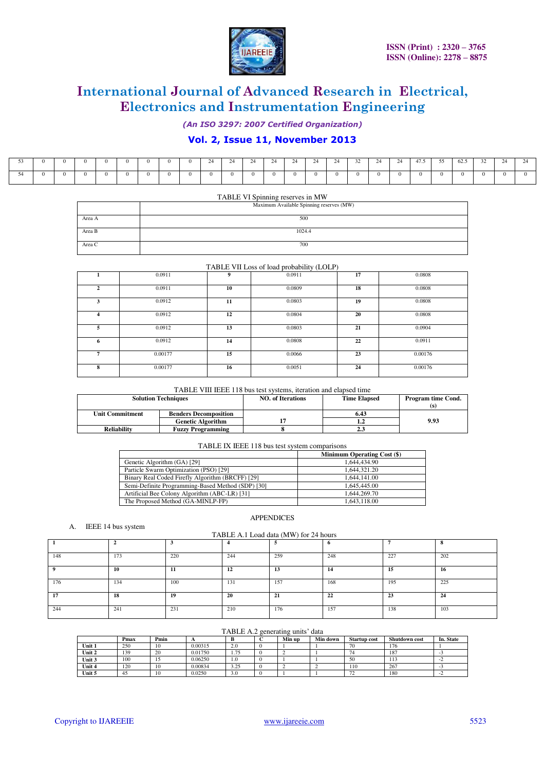

*(An ISO 3297: 2007 Certified Organization)* 

## **Vol. 2, Issue 11, November 2013**

|  | $^{\circ}$ |  | $^{\prime}$ |  | $\mathcal{L}$ | $\Delta$ | 24 | 24 | -44 | 32 | 24 | 24 | 47.5 | - 55 | 62.5 | -32 | 2 <sub>A</sub> |  |
|--|------------|--|-------------|--|---------------|----------|----|----|-----|----|----|----|------|------|------|-----|----------------|--|
|  | $^{\circ}$ |  |             |  |               |          |    |    |     |    |    |    |      |      |      |     |                |  |

### TABLE VI Spinning reserves in MW

|        | Maximum Available Spinning reserves (MW) |
|--------|------------------------------------------|
| Area A | 500                                      |
| Area B | 1024.4                                   |
| Area C | 700                                      |

|              |         |    | TABLE VII Loss of load probability (LOLP) |    |         |  |
|--------------|---------|----|-------------------------------------------|----|---------|--|
|              | 0.0911  | 9  | 0.0911                                    | 17 | 0.0808  |  |
| $\mathbf{2}$ | 0.0911  | 10 | 0.0809                                    | 18 | 0.0808  |  |
| 3            | 0.0912  | 11 | 0.0803                                    | 19 | 0.0808  |  |
| 4            | 0.0912  | 12 | 0.0804                                    | 20 | 0.0808  |  |
| 5            | 0.0912  | 13 | 0.0803                                    | 21 | 0.0904  |  |
| 6            | 0.0912  | 14 | 0.0808                                    | 22 | 0.0911  |  |
|              | 0.00177 | 15 | 0.0066                                    | 23 | 0.00176 |  |
| 8            | 0.00177 | 16 | 0.0051                                    | 24 | 0.00176 |  |

### TABLE VIII IEEE 118 bus test systems, iteration and elapsed time

|                        | <b>Solution Techniques</b>   | <b>NO.</b> of Iterations | <b>Time Elapsed</b> | Program time Cond. |
|------------------------|------------------------------|--------------------------|---------------------|--------------------|
| <b>Unit Commitment</b> | <b>Benders Decomposition</b> |                          | 6.43                |                    |
|                        | <b>Genetic Algorithm</b>     |                          |                     | 9.93               |
| <b>Reliability</b>     | <b>Fuzzy Programming</b>     |                          | 2.3                 |                    |

### TABLE IX IEEE 118 bus test system comparisons

|                                                   | Minimum Operating Cost (\$) |
|---------------------------------------------------|-----------------------------|
| Genetic Algorithm (GA) [29]                       | 1,644,434.90                |
| Particle Swarm Optimization (PSO) [29]            | 1,644,321.20                |
| Binary Real Coded Firefly Algorithm (BRCFF) [29]  | 1,644,141,00                |
| Semi-Definite Programming-Based Method (SDP) [30] | 1,645,445.00                |
| Artificial Bee Colony Algorithm (ABC-LR) [31]     | 1,644,269.70                |
| The Proposed Method (GA-MINLP-FP)                 | 1,643,118,00                |

### A. IEEE 14 bus system

## APPENDICES TABLE A.1 Load data (MW) for 24 hours

| 148 | 173 | 220 | 244 | 259 | 248 | 227 | 202 |
|-----|-----|-----|-----|-----|-----|-----|-----|
|     | 10  | 11  | 12  | 13  | 14  | 15  | 16  |
| 176 | 134 | 100 | 131 | 157 | 168 | 195 | 225 |
| 15  | 18  | 19  | 20  | 21  | 22  | 23  | 24  |
| 244 | 241 | 231 | 210 | 176 | 157 | 138 | 103 |

#### TABLE A.2 generating units' data<br>  $\begin{array}{|c|c|c|c|c|}\n\hline\n\textbf{B} & \textbf{C} & \textbf{Min up} & \textbf{Min down} \\
\hline\n2.0 & 0 & 1 & 1\n\end{array}$ **Pmax Pmin A B C Min up Min down Startup cost Shutdown cost In. State**  $\frac{250}{10}$  10 0.00315 2.0 0 1 1 70 176 1 **Unit 1** 250 10 0.00315 2.0 0 1 1 70 176 1 **Unit 2** 139 20 0.01750 1.75 0 2 1 74 187 -3 **Unit 3** 100 15 0.06250 1.0 0 1 1 1 50 113 -2 **Unit 4** 120 10 0.00834 3.25 0 2 2 110 267 -3 **Unit 5** | 45 | 10 | 0.0250 | 3.0 | 0 | 1 | 1 | 1 | 72 | 180 | -2